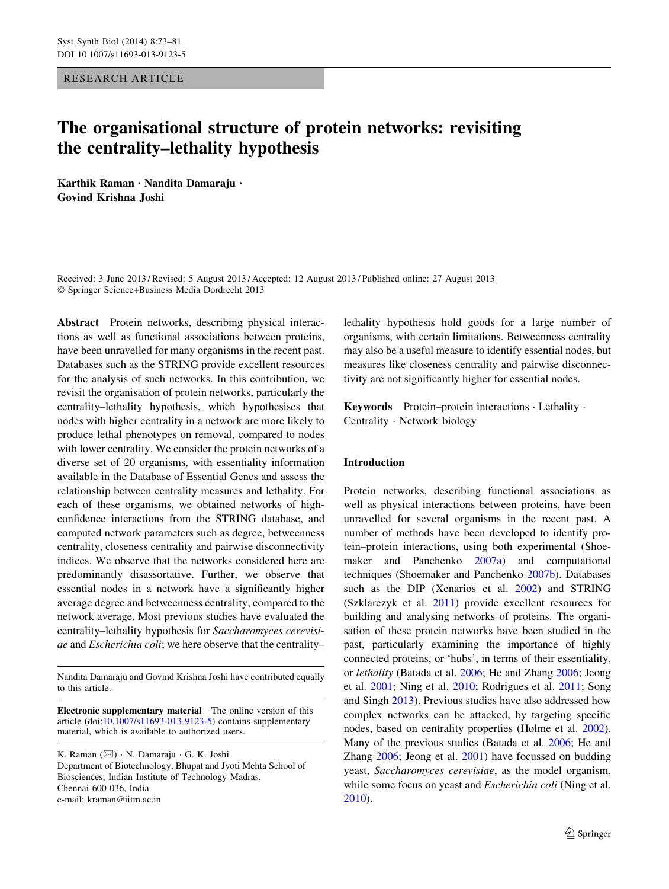## RESEARCH ARTICLE

# The organisational structure of protein networks: revisiting the centrality–lethality hypothesis

Karthik Raman • Nandita Damaraju • Govind Krishna Joshi

Received: 3 June 2013 / Revised: 5 August 2013 / Accepted: 12 August 2013 / Published online: 27 August 2013 - Springer Science+Business Media Dordrecht 2013

Abstract Protein networks, describing physical interactions as well as functional associations between proteins, have been unravelled for many organisms in the recent past. Databases such as the STRING provide excellent resources for the analysis of such networks. In this contribution, we revisit the organisation of protein networks, particularly the centrality–lethality hypothesis, which hypothesises that nodes with higher centrality in a network are more likely to produce lethal phenotypes on removal, compared to nodes with lower centrality. We consider the protein networks of a diverse set of 20 organisms, with essentiality information available in the Database of Essential Genes and assess the relationship between centrality measures and lethality. For each of these organisms, we obtained networks of highconfidence interactions from the STRING database, and computed network parameters such as degree, betweenness centrality, closeness centrality and pairwise disconnectivity indices. We observe that the networks considered here are predominantly disassortative. Further, we observe that essential nodes in a network have a significantly higher average degree and betweenness centrality, compared to the network average. Most previous studies have evaluated the centrality–lethality hypothesis for Saccharomyces cerevisiae and Escherichia coli; we here observe that the centrality–

Nandita Damaraju and Govind Krishna Joshi have contributed equally to this article.

Electronic supplementary material The online version of this article (doi:[10.1007/s11693-013-9123-5\)](http://dx.doi.org/10.1007/s11693-013-9123-5) contains supplementary material, which is available to authorized users.

K. Raman (&) - N. Damaraju - G. K. Joshi Department of Biotechnology, Bhupat and Jyoti Mehta School of Biosciences, Indian Institute of Technology Madras, Chennai 600 036, India e-mail: kraman@iitm.ac.in

lethality hypothesis hold goods for a large number of organisms, with certain limitations. Betweenness centrality may also be a useful measure to identify essential nodes, but measures like closeness centrality and pairwise disconnectivity are not significantly higher for essential nodes.

Keywords Protein-protein interactions · Lethality · Centrality - Network biology

#### Introduction

Protein networks, describing functional associations as well as physical interactions between proteins, have been unravelled for several organisms in the recent past. A number of methods have been developed to identify protein–protein interactions, using both experimental (Shoemaker and Panchenko [2007a](#page-8-0)) and computational techniques (Shoemaker and Panchenko [2007b](#page-8-0)). Databases such as the DIP (Xenarios et al. [2002\)](#page-8-0) and STRING (Szklarczyk et al. [2011](#page-8-0)) provide excellent resources for building and analysing networks of proteins. The organisation of these protein networks have been studied in the past, particularly examining the importance of highly connected proteins, or 'hubs', in terms of their essentiality, or lethality (Batada et al. [2006;](#page-7-0) He and Zhang [2006](#page-8-0); Jeong et al. [2001;](#page-8-0) Ning et al. [2010](#page-8-0); Rodrigues et al. [2011;](#page-8-0) Song and Singh [2013\)](#page-8-0). Previous studies have also addressed how complex networks can be attacked, by targeting specific nodes, based on centrality properties (Holme et al. [2002](#page-8-0)). Many of the previous studies (Batada et al. [2006](#page-7-0); He and Zhang [2006;](#page-8-0) Jeong et al. [2001](#page-8-0)) have focussed on budding yeast, Saccharomyces cerevisiae, as the model organism, while some focus on yeast and *Escherichia coli* (Ning et al. [2010](#page-8-0)).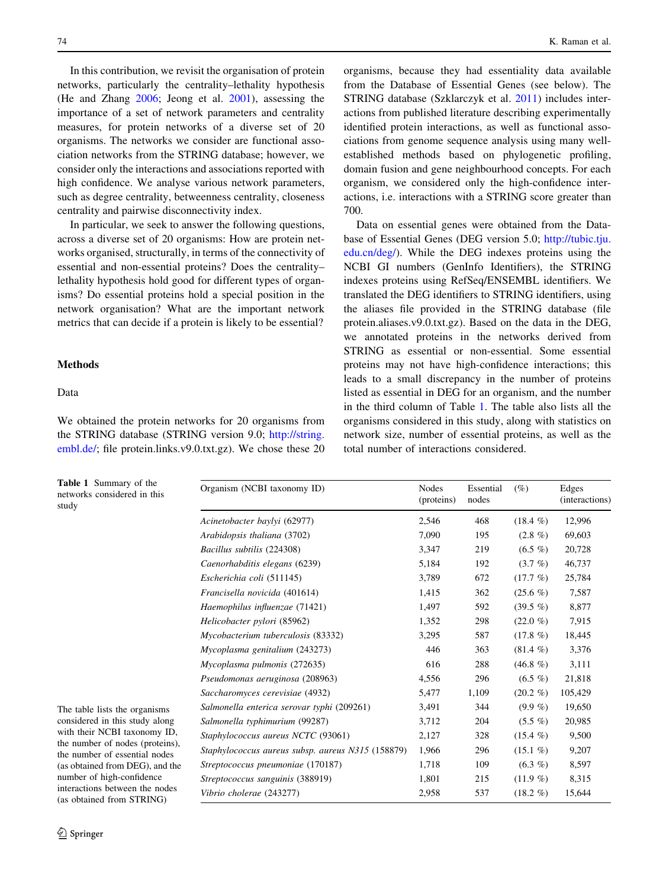In this contribution, we revisit the organisation of protein networks, particularly the centrality–lethality hypothesis (He and Zhang [2006;](#page-8-0) Jeong et al. [2001\)](#page-8-0), assessing the importance of a set of network parameters and centrality measures, for protein networks of a diverse set of 20 organisms. The networks we consider are functional association networks from the STRING database; however, we consider only the interactions and associations reported with high confidence. We analyse various network parameters, such as degree centrality, betweenness centrality, closeness centrality and pairwise disconnectivity index.

In particular, we seek to answer the following questions, across a diverse set of 20 organisms: How are protein networks organised, structurally, in terms of the connectivity of essential and non-essential proteins? Does the centrality– lethality hypothesis hold good for different types of organisms? Do essential proteins hold a special position in the network organisation? What are the important network metrics that can decide if a protein is likely to be essential?

### Methods

## Data

We obtained the protein networks for 20 organisms from the STRING database (STRING version 9.0; [http://string.](http://string.embl.de/) [embl.de/;](http://string.embl.de/) file protein.links.v9.0.txt.gz). We chose these 20

74 K. Raman et al.

organisms, because they had essentiality data available from the Database of Essential Genes (see below). The STRING database (Szklarczyk et al. [2011\)](#page-8-0) includes interactions from published literature describing experimentally identified protein interactions, as well as functional associations from genome sequence analysis using many wellestablished methods based on phylogenetic profiling, domain fusion and gene neighbourhood concepts. For each organism, we considered only the high-confidence interactions, i.e. interactions with a STRING score greater than 700.

Data on essential genes were obtained from the Database of Essential Genes (DEG version 5.0; [http://tubic.tju.](http://tubic.tju.edu.cn/deg/) [edu.cn/deg/\)](http://tubic.tju.edu.cn/deg/). While the DEG indexes proteins using the NCBI GI numbers (GenInfo Identifiers), the STRING indexes proteins using RefSeq/ENSEMBL identifiers. We translated the DEG identifiers to STRING identifiers, using the aliases file provided in the STRING database (file protein.aliases.v9.0.txt.gz). Based on the data in the DEG, we annotated proteins in the networks derived from STRING as essential or non-essential. Some essential proteins may not have high-confidence interactions; this leads to a small discrepancy in the number of proteins listed as essential in DEG for an organism, and the number in the third column of Table 1. The table also lists all the organisms considered in this study, along with statistics on network size, number of essential proteins, as well as the total number of interactions considered.

| Organism (NCBI taxonomy ID)                       | Nodes<br>(proteins) | Essential<br>nodes | $(\%)$      | Edges<br>(interactions) |
|---------------------------------------------------|---------------------|--------------------|-------------|-------------------------|
| Acinetobacter baylyi (62977)                      | 2,546               | 468                | $(18.4\%)$  | 12,996                  |
| Arabidopsis thaliana (3702)                       | 7,090               | 195                | $(2.8\%)$   | 69,603                  |
| Bacillus subtilis (224308)                        | 3,347               | 219                | $(6.5 \%)$  | 20,728                  |
| Caenorhabditis elegans (6239)                     | 5,184               | 192                | $(3.7\%)$   | 46,737                  |
| Escherichia coli (511145)                         | 3,789               | 672                | $(17.7\%)$  | 25,784                  |
| Francisella novicida (401614)                     | 1,415               | 362                | $(25.6\%)$  | 7,587                   |
| Haemophilus influenzae (71421)                    | 1,497               | 592                | $(39.5\%)$  | 8,877                   |
| <i>Helicobacter pylori</i> (85962)                | 1,352               | 298                | $(22.0\% )$ | 7,915                   |
| Mycobacterium tuberculosis (83332)                | 3,295               | 587                | $(17.8\%)$  | 18,445                  |
| Mycoplasma genitalium (243273)                    | 446                 | 363                | $(81.4\%)$  | 3,376                   |
| Mycoplasma pulmonis (272635)                      | 616                 | 288                | $(46.8\%)$  | 3,111                   |
| Pseudomonas aeruginosa (208963)                   | 4,556               | 296                | $(6.5 \%)$  | 21,818                  |
| Saccharomyces cerevisiae (4932)                   | 5,477               | 1,109              | $(20.2 \%)$ | 105,429                 |
| Salmonella enterica serovar typhi (209261)        | 3,491               | 344                | $(9.9\%)$   | 19,650                  |
| Salmonella typhimurium (99287)                    | 3,712               | 204                | $(5.5\%)$   | 20,985                  |
| Staphylococcus aureus NCTC (93061)                | 2,127               | 328                | $(15.4\%)$  | 9,500                   |
| Staphylococcus aureus subsp. aureus N315 (158879) | 1.966               | 296                | $(15.1\%)$  | 9,207                   |
| Streptococcus pneumoniae (170187)                 | 1,718               | 109                | $(6.3\%)$   | 8,597                   |
| Streptococcus sanguinis (388919)                  | 1,801               | 215                | $(11.9\%)$  | 8,315                   |
| Vibrio cholerae (243277)                          | 2,958               | 537                | $(18.2\%)$  | 15,644                  |

Table 1 Summary of the networks considered in this study

The table lists the organisms considered in this study along with their NCBI taxonomy ID, the number of nodes (proteins), the number of essential nodes (as obtained from DEG), and the number of high-confidence interactions between the nodes (as obtained from STRING)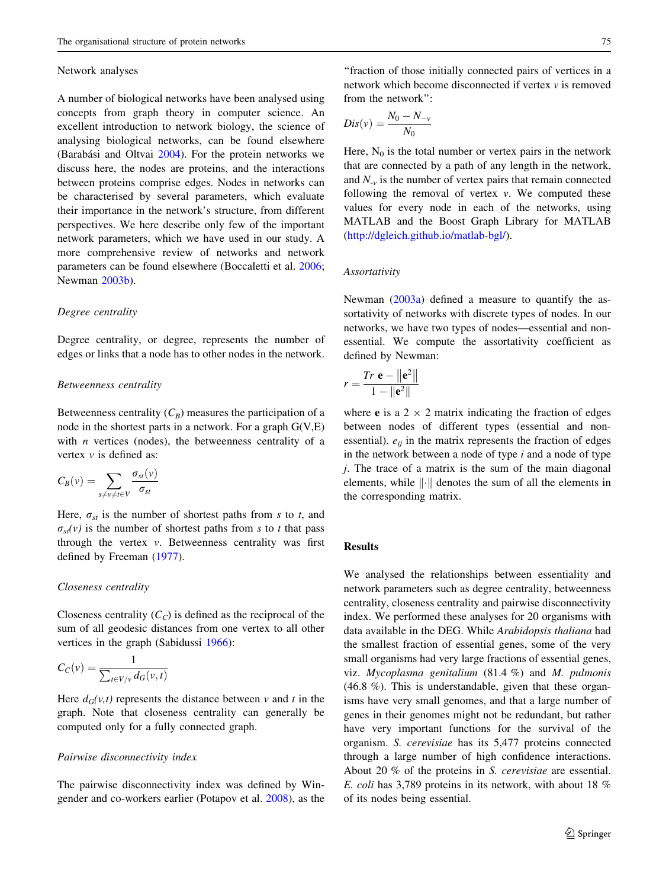#### Network analyses

A number of biological networks have been analysed using concepts from graph theory in computer science. An excellent introduction to network biology, the science of analysing biological networks, can be found elsewhere (Barabási and Oltvai  $2004$ ). For the protein networks we discuss here, the nodes are proteins, and the interactions between proteins comprise edges. Nodes in networks can be characterised by several parameters, which evaluate their importance in the network's structure, from different perspectives. We here describe only few of the important network parameters, which we have used in our study. A more comprehensive review of networks and network parameters can be found elsewhere (Boccaletti et al. [2006](#page-7-0); Newman [2003b](#page-8-0)).

## Degree centrality

Degree centrality, or degree, represents the number of edges or links that a node has to other nodes in the network.

#### Betweenness centrality

Betweenness centrality  $(C_B)$  measures the participation of a node in the shortest parts in a network. For a graph  $G(V,E)$ with  $n$  vertices (nodes), the betweenness centrality of a vertex  $v$  is defined as:

$$
C_B(v) = \sum_{s \neq v \neq t \in V} \frac{\sigma_{st}(v)}{\sigma_{st}}
$$

Here,  $\sigma_{st}$  is the number of shortest paths from s to t, and  $\sigma_{\rm sf}(v)$  is the number of shortest paths from s to t that pass through the vertex  $v$ . Betweenness centrality was first defined by Freeman ([1977\)](#page-7-0).

## Closeness centrality

Closeness centrality  $(C_C)$  is defined as the reciprocal of the sum of all geodesic distances from one vertex to all other vertices in the graph (Sabidussi [1966](#page-8-0)):

$$
C_C(v) = \frac{1}{\sum_{t \in V/v} d_G(v, t)}
$$

Here  $d_G(v,t)$  represents the distance between v and t in the graph. Note that closeness centrality can generally be computed only for a fully connected graph.

#### Pairwise disconnectivity index

The pairwise disconnectivity index was defined by Wingender and co-workers earlier (Potapov et al. [2008\)](#page-8-0), as the

''fraction of those initially connected pairs of vertices in a network which become disconnected if vertex  $v$  is removed from the network'':

$$
Dis(v) = \frac{N_0 - N_{-v}}{N_0}
$$

Here,  $N_0$  is the total number or vertex pairs in the network that are connected by a path of any length in the network, and  $N_{-v}$  is the number of vertex pairs that remain connected following the removal of vertex  $v$ . We computed these values for every node in each of the networks, using MATLAB and the Boost Graph Library for MATLAB [\(http://dgleich.github.io/matlab-bgl/](http://dgleich.github.io/matlab-bgl/)).

#### Assortativity

Newman [\(2003a\)](#page-8-0) defined a measure to quantify the assortativity of networks with discrete types of nodes. In our networks, we have two types of nodes—essential and nonessential. We compute the assortativity coefficient as defined by Newman:

$$
r = \frac{Tr \mathbf{e} - ||\mathbf{e}^2||}{1 - ||\mathbf{e}^2||}
$$

where e is a  $2 \times 2$  matrix indicating the fraction of edges between nodes of different types (essential and nonessential).  $e_{ii}$  in the matrix represents the fraction of edges in the network between a node of type  $i$  and a node of type  $j$ . The trace of a matrix is the sum of the main diagonal elements, while  $\|\cdot\|$  denotes the sum of all the elements in the corresponding matrix.

### Results

We analysed the relationships between essentiality and network parameters such as degree centrality, betweenness centrality, closeness centrality and pairwise disconnectivity index. We performed these analyses for 20 organisms with data available in the DEG. While Arabidopsis thaliana had the smallest fraction of essential genes, some of the very small organisms had very large fractions of essential genes, viz. Mycoplasma genitalium (81.4 %) and M. pulmonis (46.8 %). This is understandable, given that these organisms have very small genomes, and that a large number of genes in their genomes might not be redundant, but rather have very important functions for the survival of the organism. S. cerevisiae has its 5,477 proteins connected through a large number of high confidence interactions. About 20 % of the proteins in S. cerevisiae are essential. E. coli has 3,789 proteins in its network, with about 18 % of its nodes being essential.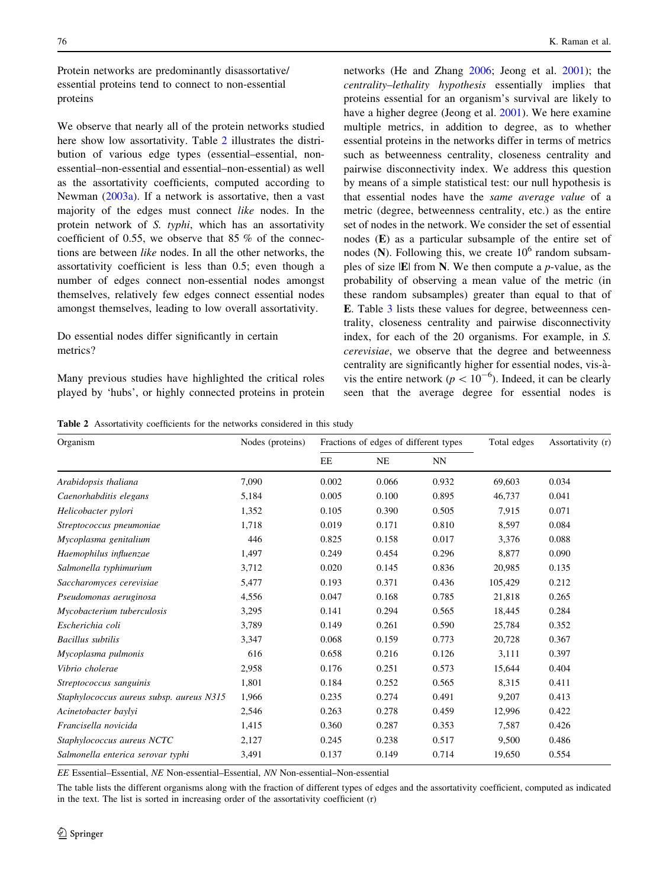Protein networks are predominantly disassortative/ essential proteins tend to connect to non-essential proteins

We observe that nearly all of the protein networks studied here show low assortativity. Table 2 illustrates the distribution of various edge types (essential–essential, nonessential–non-essential and essential–non-essential) as well as the assortativity coefficients, computed according to Newman [\(2003a\)](#page-8-0). If a network is assortative, then a vast majority of the edges must connect like nodes. In the protein network of S. typhi, which has an assortativity coefficient of 0.55, we observe that 85 % of the connections are between like nodes. In all the other networks, the assortativity coefficient is less than 0.5; even though a number of edges connect non-essential nodes amongst themselves, relatively few edges connect essential nodes amongst themselves, leading to low overall assortativity.

Do essential nodes differ significantly in certain metrics?

Many previous studies have highlighted the critical roles played by 'hubs', or highly connected proteins in protein networks (He and Zhang [2006;](#page-8-0) Jeong et al. [2001\)](#page-8-0); the centrality–lethality hypothesis essentially implies that proteins essential for an organism's survival are likely to have a higher degree (Jeong et al. [2001\)](#page-8-0). We here examine multiple metrics, in addition to degree, as to whether essential proteins in the networks differ in terms of metrics such as betweenness centrality, closeness centrality and pairwise disconnectivity index. We address this question by means of a simple statistical test: our null hypothesis is that essential nodes have the same average value of a metric (degree, betweenness centrality, etc.) as the entire set of nodes in the network. We consider the set of essential nodes (E) as a particular subsample of the entire set of nodes  $(N)$ . Following this, we create  $10<sup>6</sup>$  random subsamples of size  $|E|$  from N. We then compute a *p*-value, as the probability of observing a mean value of the metric (in these random subsamples) greater than equal to that of E. Table [3](#page-4-0) lists these values for degree, betweenness centrality, closeness centrality and pairwise disconnectivity index, for each of the 20 organisms. For example, in S. cerevisiae, we observe that the degree and betweenness centrality are significantly higher for essential nodes, vis-a` vis the entire network ( $p < 10^{-6}$ ). Indeed, it can be clearly seen that the average degree for essential nodes is

Table 2 Assortativity coefficients for the networks considered in this study

| Organism                                 | Nodes (proteins) |       | Fractions of edges of different types |       | Total edges | Assortativity (r) |  |
|------------------------------------------|------------------|-------|---------------------------------------|-------|-------------|-------------------|--|
|                                          |                  | EE    | <b>NE</b>                             | NN    |             |                   |  |
| Arabidopsis thaliana                     | 7,090            | 0.002 | 0.066                                 | 0.932 | 69,603      | 0.034             |  |
| Caenorhabditis elegans                   | 5,184            | 0.005 | 0.100                                 | 0.895 | 46,737      | 0.041             |  |
| Helicobacter pylori                      | 1,352            | 0.105 | 0.390                                 | 0.505 | 7,915       | 0.071             |  |
| Streptococcus pneumoniae                 | 1,718            | 0.019 | 0.171                                 | 0.810 | 8,597       | 0.084             |  |
| Mycoplasma genitalium                    | 446              | 0.825 | 0.158                                 | 0.017 | 3,376       | 0.088             |  |
| Haemophilus influenzae                   | 1,497            | 0.249 | 0.454                                 | 0.296 | 8,877       | 0.090             |  |
| Salmonella typhimurium                   | 3,712            | 0.020 | 0.145                                 | 0.836 | 20,985      | 0.135             |  |
| Saccharomyces cerevisiae                 | 5,477            | 0.193 | 0.371                                 | 0.436 | 105,429     | 0.212             |  |
| Pseudomonas aeruginosa                   | 4,556            | 0.047 | 0.168                                 | 0.785 | 21,818      | 0.265             |  |
| Mycobacterium tuberculosis               | 3,295            | 0.141 | 0.294                                 | 0.565 | 18,445      | 0.284             |  |
| Escherichia coli                         | 3,789            | 0.149 | 0.261                                 | 0.590 | 25,784      | 0.352             |  |
| <b>Bacillus</b> subtilis                 | 3,347            | 0.068 | 0.159                                 | 0.773 | 20,728      | 0.367             |  |
| Mycoplasma pulmonis                      | 616              | 0.658 | 0.216                                 | 0.126 | 3,111       | 0.397             |  |
| Vibrio cholerae                          | 2,958            | 0.176 | 0.251                                 | 0.573 | 15,644      | 0.404             |  |
| Streptococcus sanguinis                  | 1,801            | 0.184 | 0.252                                 | 0.565 | 8,315       | 0.411             |  |
| Staphylococcus aureus subsp. aureus N315 | 1,966            | 0.235 | 0.274                                 | 0.491 | 9,207       | 0.413             |  |
| Acinetobacter baylyi                     | 2,546            | 0.263 | 0.278                                 | 0.459 | 12,996      | 0.422             |  |
| Francisella novicida                     | 1,415            | 0.360 | 0.287                                 | 0.353 | 7,587       | 0.426             |  |
| Staphylococcus aureus NCTC               | 2,127            | 0.245 | 0.238                                 | 0.517 | 9,500       | 0.486             |  |
| Salmonella enterica serovar typhi        | 3,491            | 0.137 | 0.149                                 | 0.714 | 19,650      | 0.554             |  |

EE Essential–Essential, NE Non-essential–Essential, NN Non-essential–Non-essential

The table lists the different organisms along with the fraction of different types of edges and the assortativity coefficient, computed as indicated in the text. The list is sorted in increasing order of the assortativity coefficient (r)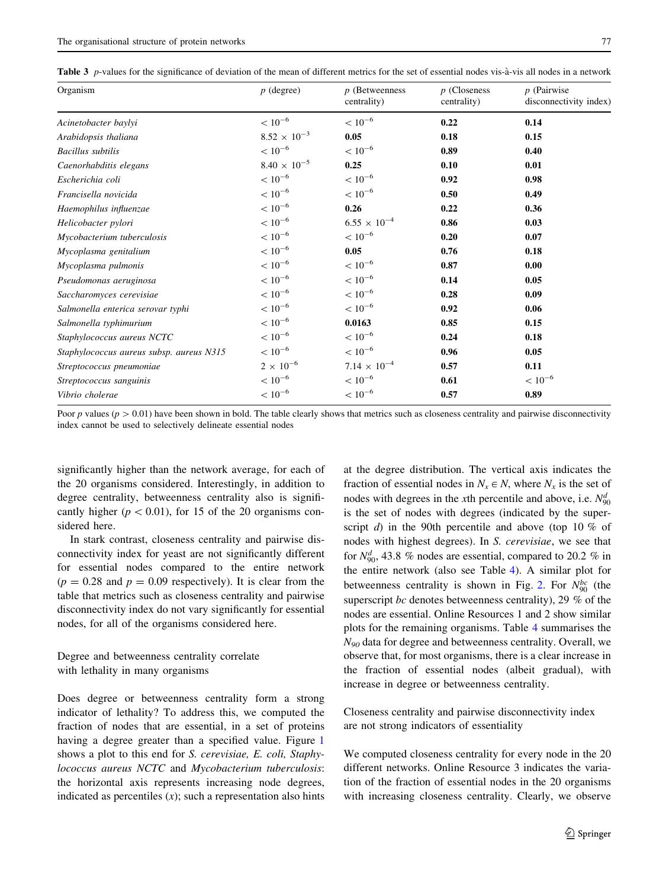<span id="page-4-0"></span>**Table 3** p-values for the significance of deviation of the mean of different metrics for the set of essential nodes vis-à-vis all nodes in a network

| Organism                                 | $p$ (degree)          | $p$ (Betweenness<br>centrality) | $p$ (Closeness<br>centrality) | $p$ (Pairwise<br>disconnectivity index) |  |
|------------------------------------------|-----------------------|---------------------------------|-------------------------------|-----------------------------------------|--|
| Acinetobacter baylyi                     | $< 10^{-6}$           | $< 10^{-6}$                     | 0.22                          | 0.14                                    |  |
| Arabidopsis thaliana                     | $8.52 \times 10^{-3}$ | 0.05                            | 0.18                          | 0.15                                    |  |
| <b>Bacillus</b> subtilis                 | $< 10^{-6}$           | $< 10^{-6}$                     | 0.89                          | 0.40                                    |  |
| Caenorhabditis elegans                   | $8.40 \times 10^{-5}$ | 0.25                            | 0.10                          | 0.01                                    |  |
| Escherichia coli                         | $< 10^{-6}$           | $< 10^{-6}$                     | 0.92                          | 0.98                                    |  |
| Francisella novicida                     | $< 10^{-6}$           | $< 10^{-6}$                     | 0.50                          | 0.49                                    |  |
| Haemophilus influenzae                   | $< 10^{-6}$           | 0.26                            | 0.22                          | 0.36                                    |  |
| Helicobacter pylori                      | $< 10^{-6}$           | $6.55 \times 10^{-4}$           | 0.86                          | 0.03                                    |  |
| Mycobacterium tuberculosis               | $< 10^{-6}$           | $< 10^{-6}$                     | 0.20                          | 0.07                                    |  |
| Mycoplasma genitalium                    | $< 10^{-6}$           | 0.05                            | 0.76                          | 0.18                                    |  |
| Mycoplasma pulmonis                      | $< 10^{-6}$           | $< 10^{-6}$                     | 0.87                          | 0.00                                    |  |
| Pseudomonas aeruginosa                   | $< 10^{-6}$           | $< 10^{-6}$                     | 0.14                          | 0.05                                    |  |
| Saccharomyces cerevisiae                 | $< 10^{-6}$           | $< 10^{-6}$                     | 0.28                          | 0.09                                    |  |
| Salmonella enterica serovar typhi        | $< 10^{-6}$           | $< 10^{-6}$                     | 0.92                          | 0.06                                    |  |
| Salmonella typhimurium                   | $< 10^{-6}$           | 0.0163                          | 0.85                          | 0.15                                    |  |
| Staphylococcus aureus NCTC               | $< 10^{-6}$           | $< 10^{-6}$                     | 0.24                          | 0.18                                    |  |
| Staphylococcus aureus subsp. aureus N315 | $< 10^{-6}$           | $< 10^{-6}$                     | 0.96                          | 0.05                                    |  |
| Streptococcus pneumoniae                 | $2 \times 10^{-6}$    | $7.14 \times 10^{-4}$           | 0.57                          | 0.11                                    |  |
| Streptococcus sanguinis                  | $< 10^{-6}$           | $< 10^{-6}$                     | 0.61                          | $< 10^{-6}$                             |  |
| Vibrio cholerae                          | $< 10^{-6}$           | $< 10^{-6}$                     | 0.57                          | 0.89                                    |  |

Poor p values  $(p > 0.01)$  have been shown in bold. The table clearly shows that metrics such as closeness centrality and pairwise disconnectivity index cannot be used to selectively delineate essential nodes

significantly higher than the network average, for each of the 20 organisms considered. Interestingly, in addition to degree centrality, betweenness centrality also is significantly higher ( $p < 0.01$ ), for 15 of the 20 organisms considered here.

In stark contrast, closeness centrality and pairwise disconnectivity index for yeast are not significantly different for essential nodes compared to the entire network  $(p = 0.28$  and  $p = 0.09$  respectively). It is clear from the table that metrics such as closeness centrality and pairwise disconnectivity index do not vary significantly for essential nodes, for all of the organisms considered here.

Degree and betweenness centrality correlate with lethality in many organisms

Does degree or betweenness centrality form a strong indicator of lethality? To address this, we computed the fraction of nodes that are essential, in a set of proteins having a degree greater than a specified value. Figure [1](#page-5-0) shows a plot to this end for S. cerevisiae, E. coli, Staphylococcus aureus NCTC and Mycobacterium tuberculosis: the horizontal axis represents increasing node degrees, indicated as percentiles  $(x)$ ; such a representation also hints

at the degree distribution. The vertical axis indicates the fraction of essential nodes in  $N_x \in N$ , where  $N_x$  is the set of nodes with degrees in the xth percentile and above, i.e.  $N_{90}^d$ is the set of nodes with degrees (indicated by the superscript  $d$ ) in the 90th percentile and above (top 10 % of nodes with highest degrees). In S. cerevisiae, we see that for  $N_{90}^d$ , 43.8 % nodes are essential, compared to 20.2 % in the entire network (also see Table [4\)](#page-6-0). A similar plot for betweenness centrality is shown in Fig. [2](#page-6-0). For  $N_{90}^{bc}$  (the superscript bc denotes betweenness centrality), 29  $%$  of the nodes are essential. Online Resources 1 and 2 show similar plots for the remaining organisms. Table [4](#page-6-0) summarises the  $N_{90}$  data for degree and betweenness centrality. Overall, we observe that, for most organisms, there is a clear increase in the fraction of essential nodes (albeit gradual), with increase in degree or betweenness centrality.

Closeness centrality and pairwise disconnectivity index are not strong indicators of essentiality

We computed closeness centrality for every node in the 20 different networks. Online Resource 3 indicates the variation of the fraction of essential nodes in the 20 organisms with increasing closeness centrality. Clearly, we observe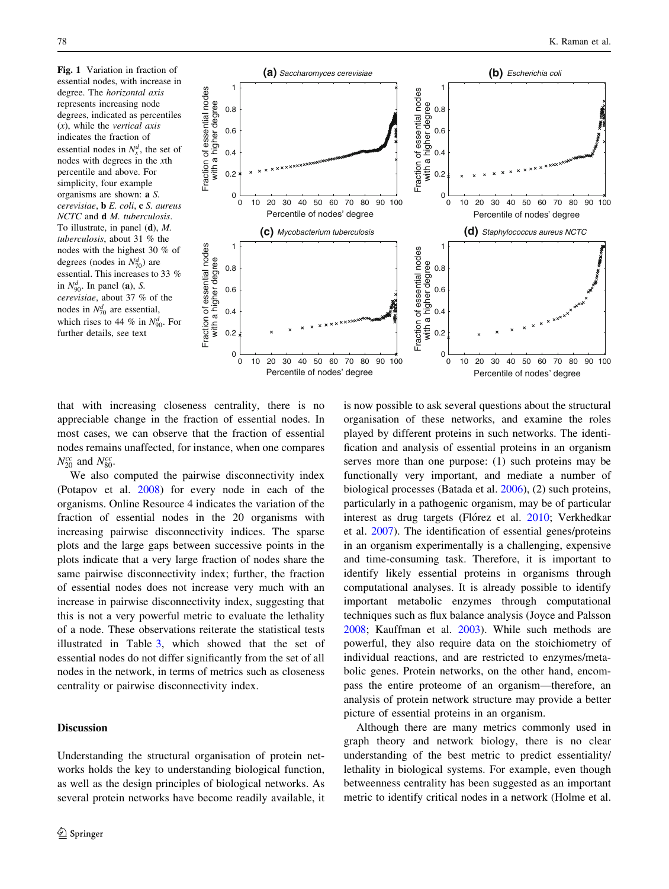<span id="page-5-0"></span>Fig. 1 Variation in fraction of essential nodes, with increase in degree. The horizontal axis represents increasing node degrees, indicated as percentiles  $(x)$ , while the *vertical* axis indicates the fraction of essential nodes in  $N_x^d$ , the set of nodes with degrees in the xth percentile and above. For simplicity, four example organisms are shown: a S. cerevisiae,  $\mathbf b$  E. coli,  $\mathbf c$  S. aureus NCTC and d M. tuberculosis. To illustrate, in panel (d), M. tuberculosis, about 31 % the nodes with the highest 30 % of degrees (nodes in  $N_{70}^d$ ) are essential. This increases to 33 % in  $N_{90}^d$ . In panel (a), S. cerevisiae, about 37 % of the nodes in  $N_{70}^d$  are essential, which rises to 44 % in  $N_{90}^d$ . For further details, see text



that with increasing closeness centrality, there is no appreciable change in the fraction of essential nodes. In most cases, we can observe that the fraction of essential nodes remains unaffected, for instance, when one compares  $N_{20}^{cc}$  and  $N_{80}^{cc}$ .

We also computed the pairwise disconnectivity index (Potapov et al. [2008\)](#page-8-0) for every node in each of the organisms. Online Resource 4 indicates the variation of the fraction of essential nodes in the 20 organisms with increasing pairwise disconnectivity indices. The sparse plots and the large gaps between successive points in the plots indicate that a very large fraction of nodes share the same pairwise disconnectivity index; further, the fraction of essential nodes does not increase very much with an increase in pairwise disconnectivity index, suggesting that this is not a very powerful metric to evaluate the lethality of a node. These observations reiterate the statistical tests illustrated in Table [3,](#page-4-0) which showed that the set of essential nodes do not differ significantly from the set of all nodes in the network, in terms of metrics such as closeness centrality or pairwise disconnectivity index.

## Discussion

Understanding the structural organisation of protein networks holds the key to understanding biological function, as well as the design principles of biological networks. As several protein networks have become readily available, it is now possible to ask several questions about the structural organisation of these networks, and examine the roles played by different proteins in such networks. The identification and analysis of essential proteins in an organism serves more than one purpose: (1) such proteins may be functionally very important, and mediate a number of biological processes (Batada et al. [2006\)](#page-7-0), (2) such proteins, particularly in a pathogenic organism, may be of particular interest as drug targets (Flórez et al. [2010](#page-7-0); Verkhedkar et al. [2007\)](#page-8-0). The identification of essential genes/proteins in an organism experimentally is a challenging, expensive and time-consuming task. Therefore, it is important to identify likely essential proteins in organisms through computational analyses. It is already possible to identify important metabolic enzymes through computational techniques such as flux balance analysis (Joyce and Palsson [2008](#page-8-0); Kauffman et al. [2003\)](#page-8-0). While such methods are powerful, they also require data on the stoichiometry of individual reactions, and are restricted to enzymes/metabolic genes. Protein networks, on the other hand, encompass the entire proteome of an organism—therefore, an analysis of protein network structure may provide a better picture of essential proteins in an organism.

Although there are many metrics commonly used in graph theory and network biology, there is no clear understanding of the best metric to predict essentiality/ lethality in biological systems. For example, even though betweenness centrality has been suggested as an important metric to identify critical nodes in a network (Holme et al.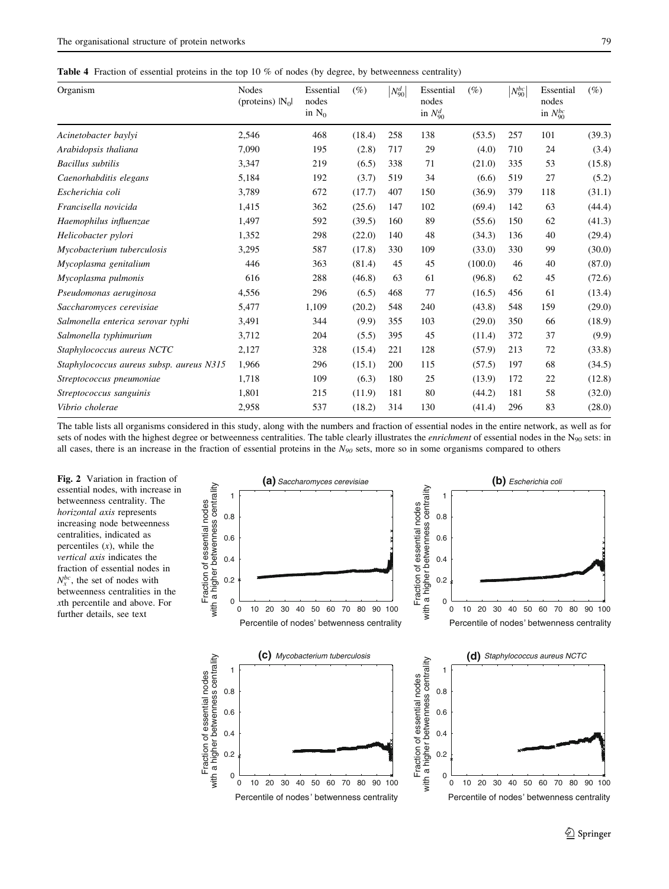<span id="page-6-0"></span>Table 4 Fraction of essential proteins in the top 10 % of nodes (by degree, by betweenness centrality)

| Organism                                 | <b>Nodes</b><br>(proteins) $ N_0 $ | Essential<br>nodes<br>in $N_0$ | $(\%)$ | $\left N_{90}^{d}\right $ | Essential<br>nodes<br>in $N_{90}^d$ | $(\%)$  | $ N_{90}^{bc} $ | Essential<br>nodes<br>in $N_{90}^{bc}$ | $(\%)$ |
|------------------------------------------|------------------------------------|--------------------------------|--------|---------------------------|-------------------------------------|---------|-----------------|----------------------------------------|--------|
| Acinetobacter baylyi                     | 2,546                              | 468                            | (18.4) | 258                       | 138                                 | (53.5)  | 257             | 101                                    | (39.3) |
| Arabidopsis thaliana                     | 7,090                              | 195                            | (2.8)  | 717                       | 29                                  | (4.0)   | 710             | 24                                     | (3.4)  |
| <b>Bacillus</b> subtilis                 | 3,347                              | 219                            | (6.5)  | 338                       | 71                                  | (21.0)  | 335             | 53                                     | (15.8) |
| Caenorhabditis elegans                   | 5,184                              | 192                            | (3.7)  | 519                       | 34                                  | (6.6)   | 519             | 27                                     | (5.2)  |
| Escherichia coli                         | 3,789                              | 672                            | (17.7) | 407                       | 150                                 | (36.9)  | 379             | 118                                    | (31.1) |
| Francisella novicida                     | 1,415                              | 362                            | (25.6) | 147                       | 102                                 | (69.4)  | 142             | 63                                     | (44.4) |
| Haemophilus influenzae                   | 1,497                              | 592                            | (39.5) | 160                       | 89                                  | (55.6)  | 150             | 62                                     | (41.3) |
| Helicobacter pylori                      | 1,352                              | 298                            | (22.0) | 140                       | 48                                  | (34.3)  | 136             | 40                                     | (29.4) |
| Mycobacterium tuberculosis               | 3,295                              | 587                            | (17.8) | 330                       | 109                                 | (33.0)  | 330             | 99                                     | (30.0) |
| Mycoplasma genitalium                    | 446                                | 363                            | (81.4) | 45                        | 45                                  | (100.0) | 46              | 40                                     | (87.0) |
| Mycoplasma pulmonis                      | 616                                | 288                            | (46.8) | 63                        | 61                                  | (96.8)  | 62              | 45                                     | (72.6) |
| Pseudomonas aeruginosa                   | 4,556                              | 296                            | (6.5)  | 468                       | 77                                  | (16.5)  | 456             | 61                                     | (13.4) |
| Saccharomyces cerevisiae                 | 5,477                              | 1,109                          | (20.2) | 548                       | 240                                 | (43.8)  | 548             | 159                                    | (29.0) |
| Salmonella enterica serovar typhi        | 3,491                              | 344                            | (9.9)  | 355                       | 103                                 | (29.0)  | 350             | 66                                     | (18.9) |
| Salmonella typhimurium                   | 3,712                              | 204                            | (5.5)  | 395                       | 45                                  | (11.4)  | 372             | 37                                     | (9.9)  |
| Staphylococcus aureus NCTC               | 2,127                              | 328                            | (15.4) | 221                       | 128                                 | (57.9)  | 213             | 72                                     | (33.8) |
| Staphylococcus aureus subsp. aureus N315 | 1,966                              | 296                            | (15.1) | 200                       | 115                                 | (57.5)  | 197             | 68                                     | (34.5) |
| Streptococcus pneumoniae                 | 1,718                              | 109                            | (6.3)  | 180                       | 25                                  | (13.9)  | 172             | 22                                     | (12.8) |
| Streptococcus sanguinis                  | 1,801                              | 215                            | (11.9) | 181                       | 80                                  | (44.2)  | 181             | 58                                     | (32.0) |
| Vibrio cholerae                          | 2,958                              | 537                            | (18.2) | 314                       | 130                                 | (41.4)  | 296             | 83                                     | (28.0) |

The table lists all organisms considered in this study, along with the numbers and fraction of essential nodes in the entire network, as well as for sets of nodes with the highest degree or betweenness centralities. The table clearly illustrates the *enrichment* of essential nodes in the  $N_{90}$  sets: in all cases, there is an increase in the fraction of essential proteins in the  $N_{90}$  sets, more so in some organisms compared to others

Fig. 2 Variation in fraction of essential nodes, with increase in betweenness centrality. The horizontal axis represents increasing node betweenness centralities, indicated as percentiles  $(x)$ , while the vertical axis indicates the fraction of essential nodes in  $N_x^{bc}$ , the set of nodes with betweenness centralities in the xth percentile and above. For further details, see text

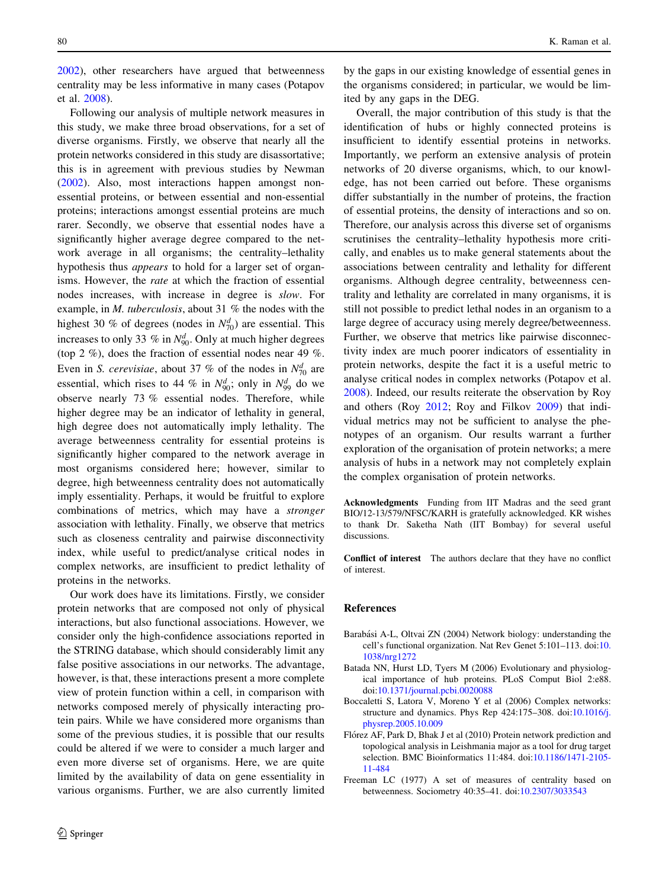<span id="page-7-0"></span>[2002\)](#page-8-0), other researchers have argued that betweenness centrality may be less informative in many cases (Potapov et al. [2008\)](#page-8-0).

Following our analysis of multiple network measures in this study, we make three broad observations, for a set of diverse organisms. Firstly, we observe that nearly all the protein networks considered in this study are disassortative; this is in agreement with previous studies by Newman [\(2002](#page-8-0)). Also, most interactions happen amongst nonessential proteins, or between essential and non-essential proteins; interactions amongst essential proteins are much rarer. Secondly, we observe that essential nodes have a significantly higher average degree compared to the network average in all organisms; the centrality–lethality hypothesis thus appears to hold for a larger set of organisms. However, the rate at which the fraction of essential nodes increases, with increase in degree is slow. For example, in M. tuberculosis, about 31 % the nodes with the highest 30 % of degrees (nodes in  $N_{70}^d$ ) are essential. This increases to only 33 % in  $N_{90}^d$ . Only at much higher degrees (top 2 %), does the fraction of essential nodes near 49 %. Even in S. cerevisiae, about 37 % of the nodes in  $N_{70}^d$  are essential, which rises to 44 % in  $N_{90}^d$ ; only in  $N_{99}^d$  do we observe nearly 73 % essential nodes. Therefore, while higher degree may be an indicator of lethality in general, high degree does not automatically imply lethality. The average betweenness centrality for essential proteins is significantly higher compared to the network average in most organisms considered here; however, similar to degree, high betweenness centrality does not automatically imply essentiality. Perhaps, it would be fruitful to explore combinations of metrics, which may have a stronger association with lethality. Finally, we observe that metrics such as closeness centrality and pairwise disconnectivity index, while useful to predict/analyse critical nodes in complex networks, are insufficient to predict lethality of proteins in the networks.

Our work does have its limitations. Firstly, we consider protein networks that are composed not only of physical interactions, but also functional associations. However, we consider only the high-confidence associations reported in the STRING database, which should considerably limit any false positive associations in our networks. The advantage, however, is that, these interactions present a more complete view of protein function within a cell, in comparison with networks composed merely of physically interacting protein pairs. While we have considered more organisms than some of the previous studies, it is possible that our results could be altered if we were to consider a much larger and even more diverse set of organisms. Here, we are quite limited by the availability of data on gene essentiality in various organisms. Further, we are also currently limited by the gaps in our existing knowledge of essential genes in the organisms considered; in particular, we would be limited by any gaps in the DEG.

Overall, the major contribution of this study is that the identification of hubs or highly connected proteins is insufficient to identify essential proteins in networks. Importantly, we perform an extensive analysis of protein networks of 20 diverse organisms, which, to our knowledge, has not been carried out before. These organisms differ substantially in the number of proteins, the fraction of essential proteins, the density of interactions and so on. Therefore, our analysis across this diverse set of organisms scrutinises the centrality–lethality hypothesis more critically, and enables us to make general statements about the associations between centrality and lethality for different organisms. Although degree centrality, betweenness centrality and lethality are correlated in many organisms, it is still not possible to predict lethal nodes in an organism to a large degree of accuracy using merely degree/betweenness. Further, we observe that metrics like pairwise disconnectivity index are much poorer indicators of essentiality in protein networks, despite the fact it is a useful metric to analyse critical nodes in complex networks (Potapov et al. [2008](#page-8-0)). Indeed, our results reiterate the observation by Roy and others (Roy [2012;](#page-8-0) Roy and Filkov [2009\)](#page-8-0) that individual metrics may not be sufficient to analyse the phenotypes of an organism. Our results warrant a further exploration of the organisation of protein networks; a mere analysis of hubs in a network may not completely explain the complex organisation of protein networks.

Acknowledgments Funding from IIT Madras and the seed grant BIO/12-13/579/NFSC/KARH is gratefully acknowledged. KR wishes to thank Dr. Saketha Nath (IIT Bombay) for several useful discussions.

Conflict of interest The authors declare that they have no conflict of interest.

#### References

- Barabási A-L, Oltvai ZN (2004) Network biology: understanding the cell's functional organization. Nat Rev Genet 5:101–113. doi:[10.](http://dx.doi.org/10.1038/nrg1272) [1038/nrg1272](http://dx.doi.org/10.1038/nrg1272)
- Batada NN, Hurst LD, Tyers M (2006) Evolutionary and physiological importance of hub proteins. PLoS Comput Biol 2:e88. doi[:10.1371/journal.pcbi.0020088](http://dx.doi.org/10.1371/journal.pcbi.0020088)
- Boccaletti S, Latora V, Moreno Y et al (2006) Complex networks: structure and dynamics. Phys Rep 424:175–308. doi:[10.1016/j.](http://dx.doi.org/10.1016/j.physrep.2005.10.009) [physrep.2005.10.009](http://dx.doi.org/10.1016/j.physrep.2005.10.009)
- Flórez AF, Park D, Bhak J et al (2010) Protein network prediction and topological analysis in Leishmania major as a tool for drug target selection. BMC Bioinformatics 11:484. doi:[10.1186/1471-2105-](http://dx.doi.org/10.1186/1471-2105-11-484) [11-484](http://dx.doi.org/10.1186/1471-2105-11-484)
- Freeman LC (1977) A set of measures of centrality based on betweenness. Sociometry 40:35–41. doi[:10.2307/3033543](http://dx.doi.org/10.2307/3033543)